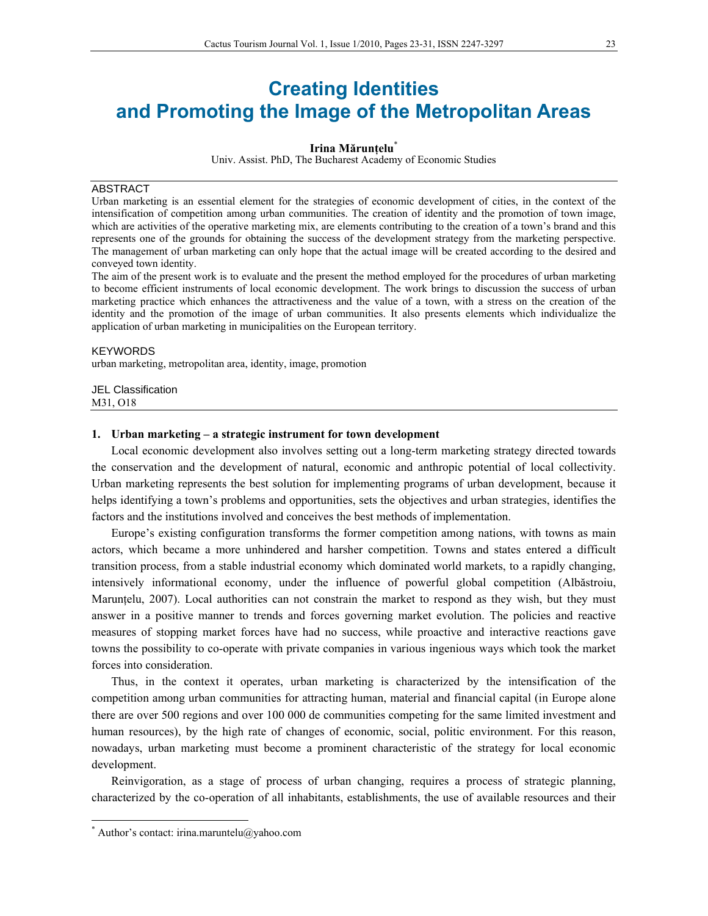# **Creating Identities and Promoting the Image of the Metropolitan Areas**

#### **Irina Mărunţelu**\*

Univ. Assist. PhD, The Bucharest Academy of Economic Studies

# ABSTRACT

Urban marketing is an essential element for the strategies of economic development of cities, in the context of the intensification of competition among urban communities. The creation of identity and the promotion of town image, which are activities of the operative marketing mix, are elements contributing to the creation of a town's brand and this represents one of the grounds for obtaining the success of the development strategy from the marketing perspective. The management of urban marketing can only hope that the actual image will be created according to the desired and conveyed town identity.

The aim of the present work is to evaluate and the present the method employed for the procedures of urban marketing to become efficient instruments of local economic development. The work brings to discussion the success of urban marketing practice which enhances the attractiveness and the value of a town, with a stress on the creation of the identity and the promotion of the image of urban communities. It also presents elements which individualize the application of urban marketing in municipalities on the European territory.

## **KEYWORDS**

urban marketing, metropolitan area, identity, image, promotion

JEL Classification M31, O18

#### **1. Urban marketing – a strategic instrument for town development**

Local economic development also involves setting out a long-term marketing strategy directed towards the conservation and the development of natural, economic and anthropic potential of local collectivity. Urban marketing represents the best solution for implementing programs of urban development, because it helps identifying a town's problems and opportunities, sets the objectives and urban strategies, identifies the factors and the institutions involved and conceives the best methods of implementation.

Europe's existing configuration transforms the former competition among nations, with towns as main actors, which became a more unhindered and harsher competition. Towns and states entered a difficult transition process, from a stable industrial economy which dominated world markets, to a rapidly changing, intensively informational economy, under the influence of powerful global competition (Albăstroiu, Maruntelu, 2007). Local authorities can not constrain the market to respond as they wish, but they must answer in a positive manner to trends and forces governing market evolution. The policies and reactive measures of stopping market forces have had no success, while proactive and interactive reactions gave towns the possibility to co-operate with private companies in various ingenious ways which took the market forces into consideration.

Thus, in the context it operates, urban marketing is characterized by the intensification of the competition among urban communities for attracting human, material and financial capital (in Europe alone there are over 500 regions and over 100 000 de communities competing for the same limited investment and human resources), by the high rate of changes of economic, social, politic environment. For this reason, nowadays, urban marketing must become a prominent characteristic of the strategy for local economic development.

Reinvigoration, as a stage of process of urban changing, requires a process of strategic planning, characterized by the co-operation of all inhabitants, establishments, the use of available resources and their

 $\overline{a}$ 

<sup>\*</sup> Author's contact: irina.maruntelu@yahoo.com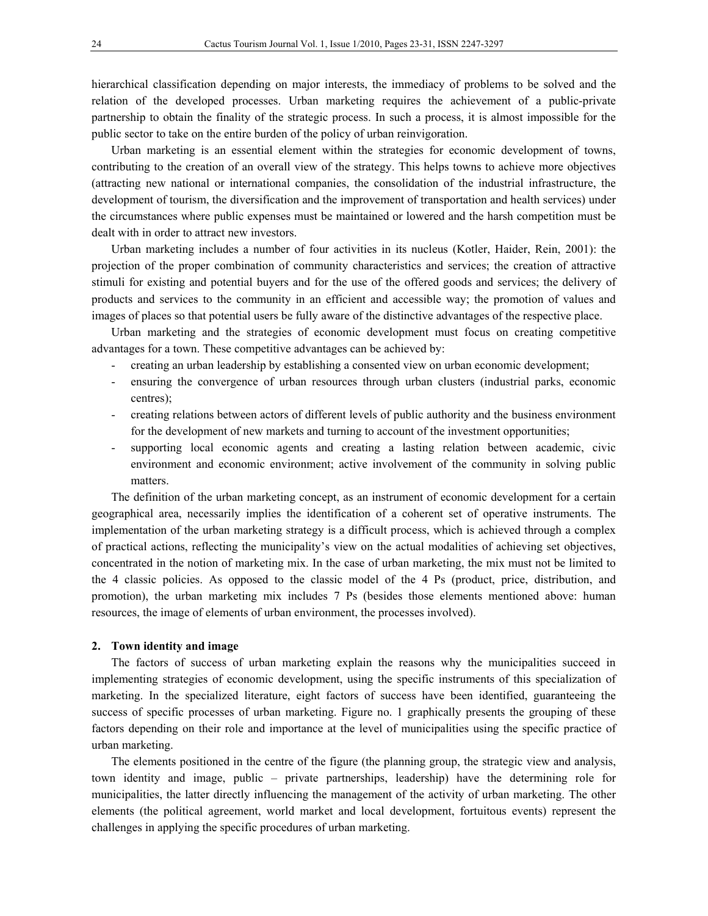hierarchical classification depending on major interests, the immediacy of problems to be solved and the relation of the developed processes. Urban marketing requires the achievement of a public-private partnership to obtain the finality of the strategic process. In such a process, it is almost impossible for the public sector to take on the entire burden of the policy of urban reinvigoration.

Urban marketing is an essential element within the strategies for economic development of towns, contributing to the creation of an overall view of the strategy. This helps towns to achieve more objectives (attracting new national or international companies, the consolidation of the industrial infrastructure, the development of tourism, the diversification and the improvement of transportation and health services) under the circumstances where public expenses must be maintained or lowered and the harsh competition must be dealt with in order to attract new investors.

Urban marketing includes a number of four activities in its nucleus (Kotler, Haider, Rein, 2001): the projection of the proper combination of community characteristics and services; the creation of attractive stimuli for existing and potential buyers and for the use of the offered goods and services; the delivery of products and services to the community in an efficient and accessible way; the promotion of values and images of places so that potential users be fully aware of the distinctive advantages of the respective place.

Urban marketing and the strategies of economic development must focus on creating competitive advantages for a town. These competitive advantages can be achieved by:

- creating an urban leadership by establishing a consented view on urban economic development;
- ensuring the convergence of urban resources through urban clusters (industrial parks, economic centres);
- creating relations between actors of different levels of public authority and the business environment for the development of new markets and turning to account of the investment opportunities;
- supporting local economic agents and creating a lasting relation between academic, civic environment and economic environment; active involvement of the community in solving public matters.

The definition of the urban marketing concept, as an instrument of economic development for a certain geographical area, necessarily implies the identification of a coherent set of operative instruments. The implementation of the urban marketing strategy is a difficult process, which is achieved through a complex of practical actions, reflecting the municipality's view on the actual modalities of achieving set objectives, concentrated in the notion of marketing mix. In the case of urban marketing, the mix must not be limited to the 4 classic policies. As opposed to the classic model of the 4 Ps (product, price, distribution, and promotion), the urban marketing mix includes 7 Ps (besides those elements mentioned above: human resources, the image of elements of urban environment, the processes involved).

#### **2. Town identity and image**

The factors of success of urban marketing explain the reasons why the municipalities succeed in implementing strategies of economic development, using the specific instruments of this specialization of marketing. In the specialized literature, eight factors of success have been identified, guaranteeing the success of specific processes of urban marketing. Figure no. 1 graphically presents the grouping of these factors depending on their role and importance at the level of municipalities using the specific practice of urban marketing.

The elements positioned in the centre of the figure (the planning group, the strategic view and analysis, town identity and image, public – private partnerships, leadership) have the determining role for municipalities, the latter directly influencing the management of the activity of urban marketing. The other elements (the political agreement, world market and local development, fortuitous events) represent the challenges in applying the specific procedures of urban marketing.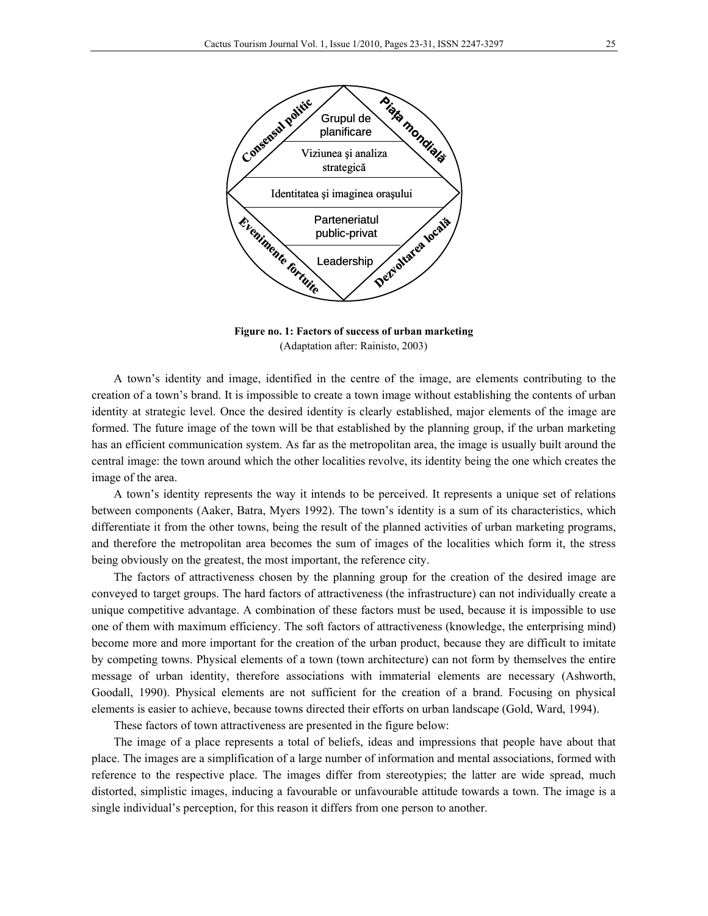

**Figure no. 1: Factors of success of urban marketing**  (Adaptation after: Rainisto, 2003)

A town's identity and image, identified in the centre of the image, are elements contributing to the creation of a town's brand. It is impossible to create a town image without establishing the contents of urban identity at strategic level. Once the desired identity is clearly established, major elements of the image are formed. The future image of the town will be that established by the planning group, if the urban marketing has an efficient communication system. As far as the metropolitan area, the image is usually built around the central image: the town around which the other localities revolve, its identity being the one which creates the image of the area.

A town's identity represents the way it intends to be perceived. It represents a unique set of relations between components (Aaker, Batra, Myers 1992). The town's identity is a sum of its characteristics, which differentiate it from the other towns, being the result of the planned activities of urban marketing programs, and therefore the metropolitan area becomes the sum of images of the localities which form it, the stress being obviously on the greatest, the most important, the reference city.

The factors of attractiveness chosen by the planning group for the creation of the desired image are conveyed to target groups. The hard factors of attractiveness (the infrastructure) can not individually create a unique competitive advantage. A combination of these factors must be used, because it is impossible to use one of them with maximum efficiency. The soft factors of attractiveness (knowledge, the enterprising mind) become more and more important for the creation of the urban product, because they are difficult to imitate by competing towns. Physical elements of a town (town architecture) can not form by themselves the entire message of urban identity, therefore associations with immaterial elements are necessary (Ashworth, Goodall, 1990). Physical elements are not sufficient for the creation of a brand. Focusing on physical elements is easier to achieve, because towns directed their efforts on urban landscape (Gold, Ward, 1994).

These factors of town attractiveness are presented in the figure below:

The image of a place represents a total of beliefs, ideas and impressions that people have about that place. The images are a simplification of a large number of information and mental associations, formed with reference to the respective place. The images differ from stereotypies; the latter are wide spread, much distorted, simplistic images, inducing a favourable or unfavourable attitude towards a town. The image is a single individual's perception, for this reason it differs from one person to another.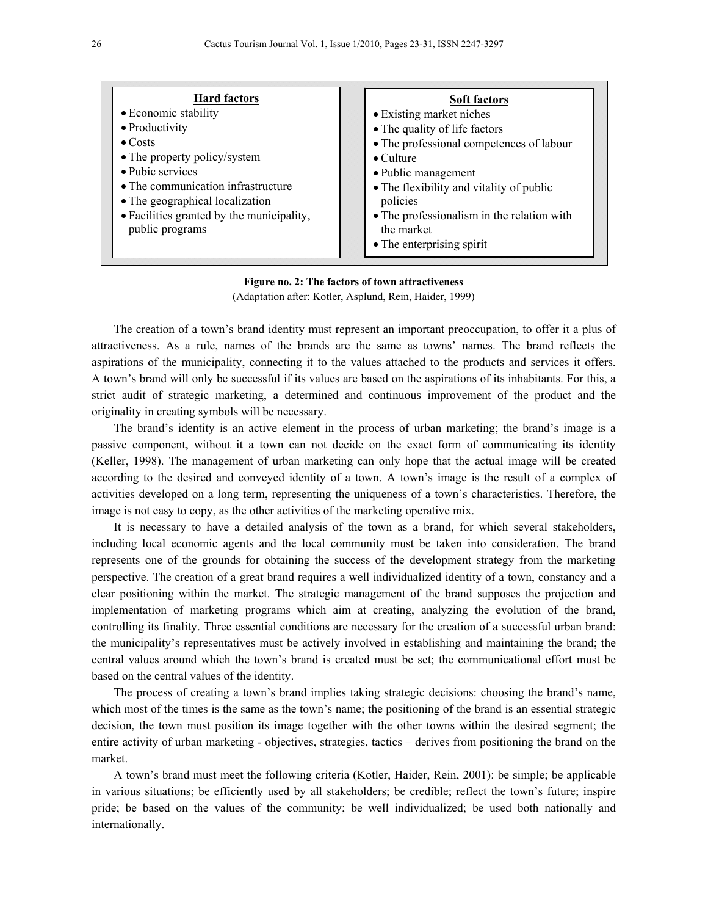| <b>Hard factors</b><br>• Economic stability<br>• Productivity<br>$\bullet$ Costs<br>• The property policy/system<br>• Pubic services<br>• The communication infrastructure<br>• The geographical localization<br>• Facilities granted by the municipality,<br>public programs | <b>Soft factors</b><br>• Existing market niches<br>• The quality of life factors<br>• The professional competences of labour<br>$\bullet$ Culture<br>• Public management<br>• The flexibility and vitality of public<br>policies<br>• The professionalism in the relation with<br>the market<br>• The enterprising spirit |
|-------------------------------------------------------------------------------------------------------------------------------------------------------------------------------------------------------------------------------------------------------------------------------|---------------------------------------------------------------------------------------------------------------------------------------------------------------------------------------------------------------------------------------------------------------------------------------------------------------------------|
|-------------------------------------------------------------------------------------------------------------------------------------------------------------------------------------------------------------------------------------------------------------------------------|---------------------------------------------------------------------------------------------------------------------------------------------------------------------------------------------------------------------------------------------------------------------------------------------------------------------------|

# **Figure no. 2: The factors of town attractiveness**

(Adaptation after: Kotler, Asplund, Rein, Haider, 1999)

The creation of a town's brand identity must represent an important preoccupation, to offer it a plus of attractiveness. As a rule, names of the brands are the same as towns' names. The brand reflects the aspirations of the municipality, connecting it to the values attached to the products and services it offers. A town's brand will only be successful if its values are based on the aspirations of its inhabitants. For this, a strict audit of strategic marketing, a determined and continuous improvement of the product and the originality in creating symbols will be necessary.

The brand's identity is an active element in the process of urban marketing; the brand's image is a passive component, without it a town can not decide on the exact form of communicating its identity (Keller, 1998). The management of urban marketing can only hope that the actual image will be created according to the desired and conveyed identity of a town. A town's image is the result of a complex of activities developed on a long term, representing the uniqueness of a town's characteristics. Therefore, the image is not easy to copy, as the other activities of the marketing operative mix.

It is necessary to have a detailed analysis of the town as a brand, for which several stakeholders, including local economic agents and the local community must be taken into consideration. The brand represents one of the grounds for obtaining the success of the development strategy from the marketing perspective. The creation of a great brand requires a well individualized identity of a town, constancy and a clear positioning within the market. The strategic management of the brand supposes the projection and implementation of marketing programs which aim at creating, analyzing the evolution of the brand, controlling its finality. Three essential conditions are necessary for the creation of a successful urban brand: the municipality's representatives must be actively involved in establishing and maintaining the brand; the central values around which the town's brand is created must be set; the communicational effort must be based on the central values of the identity.

The process of creating a town's brand implies taking strategic decisions: choosing the brand's name, which most of the times is the same as the town's name; the positioning of the brand is an essential strategic decision, the town must position its image together with the other towns within the desired segment; the entire activity of urban marketing - objectives, strategies, tactics – derives from positioning the brand on the market.

A town's brand must meet the following criteria (Kotler, Haider, Rein, 2001): be simple; be applicable in various situations; be efficiently used by all stakeholders; be credible; reflect the town's future; inspire pride; be based on the values of the community; be well individualized; be used both nationally and internationally.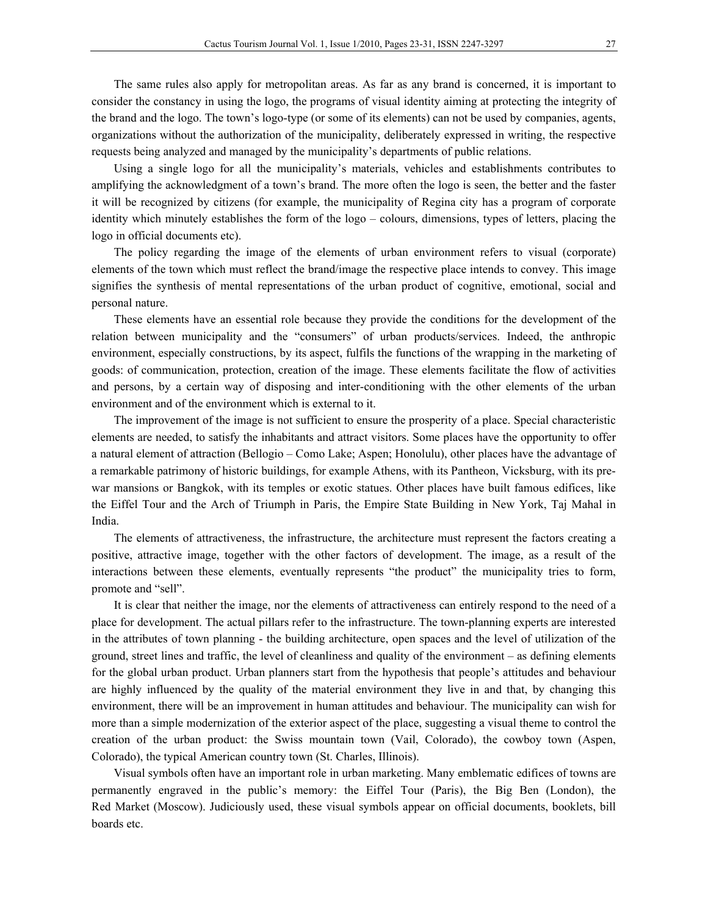The same rules also apply for metropolitan areas. As far as any brand is concerned, it is important to consider the constancy in using the logo, the programs of visual identity aiming at protecting the integrity of the brand and the logo. The town's logo-type (or some of its elements) can not be used by companies, agents, organizations without the authorization of the municipality, deliberately expressed in writing, the respective requests being analyzed and managed by the municipality's departments of public relations.

Using a single logo for all the municipality's materials, vehicles and establishments contributes to amplifying the acknowledgment of a town's brand. The more often the logo is seen, the better and the faster it will be recognized by citizens (for example, the municipality of Regina city has a program of corporate identity which minutely establishes the form of the logo – colours, dimensions, types of letters, placing the logo in official documents etc).

The policy regarding the image of the elements of urban environment refers to visual (corporate) elements of the town which must reflect the brand/image the respective place intends to convey. This image signifies the synthesis of mental representations of the urban product of cognitive, emotional, social and personal nature.

These elements have an essential role because they provide the conditions for the development of the relation between municipality and the "consumers" of urban products/services. Indeed, the anthropic environment, especially constructions, by its aspect, fulfils the functions of the wrapping in the marketing of goods: of communication, protection, creation of the image. These elements facilitate the flow of activities and persons, by a certain way of disposing and inter-conditioning with the other elements of the urban environment and of the environment which is external to it.

The improvement of the image is not sufficient to ensure the prosperity of a place. Special characteristic elements are needed, to satisfy the inhabitants and attract visitors. Some places have the opportunity to offer a natural element of attraction (Bellogio – Como Lake; Aspen; Honolulu), other places have the advantage of a remarkable patrimony of historic buildings, for example Athens, with its Pantheon, Vicksburg, with its prewar mansions or Bangkok, with its temples or exotic statues. Other places have built famous edifices, like the Eiffel Tour and the Arch of Triumph in Paris, the Empire State Building in New York, Taj Mahal in India.

The elements of attractiveness, the infrastructure, the architecture must represent the factors creating a positive, attractive image, together with the other factors of development. The image, as a result of the interactions between these elements, eventually represents "the product" the municipality tries to form, promote and "sell".

It is clear that neither the image, nor the elements of attractiveness can entirely respond to the need of a place for development. The actual pillars refer to the infrastructure. The town-planning experts are interested in the attributes of town planning - the building architecture, open spaces and the level of utilization of the ground, street lines and traffic, the level of cleanliness and quality of the environment – as defining elements for the global urban product. Urban planners start from the hypothesis that people's attitudes and behaviour are highly influenced by the quality of the material environment they live in and that, by changing this environment, there will be an improvement in human attitudes and behaviour. The municipality can wish for more than a simple modernization of the exterior aspect of the place, suggesting a visual theme to control the creation of the urban product: the Swiss mountain town (Vail, Colorado), the cowboy town (Aspen, Colorado), the typical American country town (St. Charles, Illinois).

Visual symbols often have an important role in urban marketing. Many emblematic edifices of towns are permanently engraved in the public's memory: the Eiffel Tour (Paris), the Big Ben (London), the Red Market (Moscow). Judiciously used, these visual symbols appear on official documents, booklets, bill boards etc.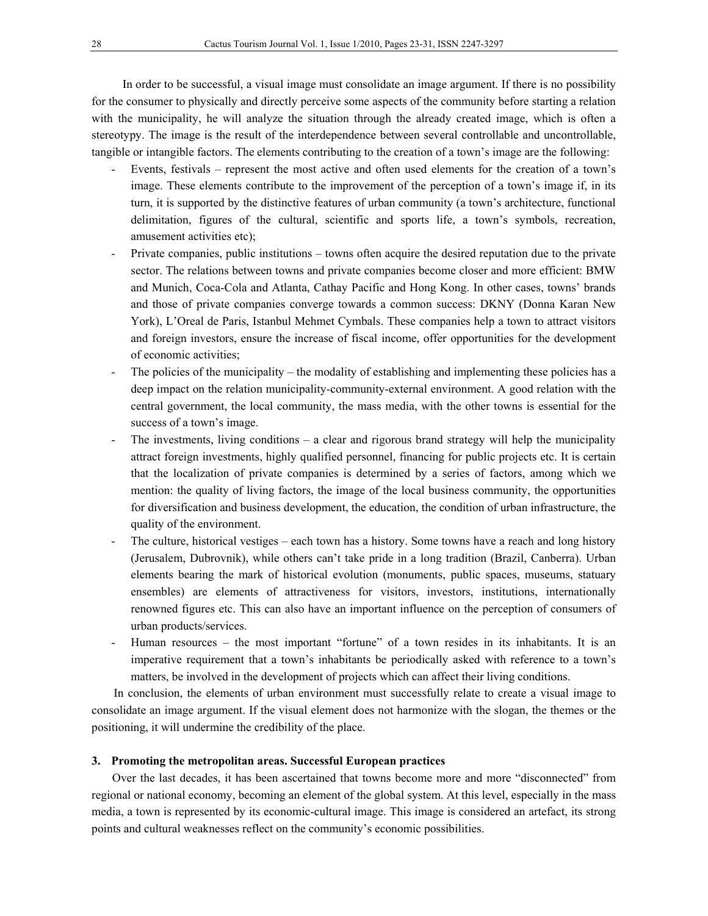In order to be successful, a visual image must consolidate an image argument. If there is no possibility for the consumer to physically and directly perceive some aspects of the community before starting a relation with the municipality, he will analyze the situation through the already created image, which is often a stereotypy. The image is the result of the interdependence between several controllable and uncontrollable, tangible or intangible factors. The elements contributing to the creation of a town's image are the following:

- Events, festivals represent the most active and often used elements for the creation of a town's image. These elements contribute to the improvement of the perception of a town's image if, in its turn, it is supported by the distinctive features of urban community (a town's architecture, functional delimitation, figures of the cultural, scientific and sports life, a town's symbols, recreation, amusement activities etc);
- Private companies, public institutions towns often acquire the desired reputation due to the private sector. The relations between towns and private companies become closer and more efficient: BMW and Munich, Coca-Cola and Atlanta, Cathay Pacific and Hong Kong. In other cases, towns' brands and those of private companies converge towards a common success: DKNY (Donna Karan New York), L'Oreal de Paris, Istanbul Mehmet Cymbals. These companies help a town to attract visitors and foreign investors, ensure the increase of fiscal income, offer opportunities for the development of economic activities;
- The policies of the municipality the modality of establishing and implementing these policies has a deep impact on the relation municipality-community-external environment. A good relation with the central government, the local community, the mass media, with the other towns is essential for the success of a town's image.
- The investments, living conditions a clear and rigorous brand strategy will help the municipality attract foreign investments, highly qualified personnel, financing for public projects etc. It is certain that the localization of private companies is determined by a series of factors, among which we mention: the quality of living factors, the image of the local business community, the opportunities for diversification and business development, the education, the condition of urban infrastructure, the quality of the environment.
- The culture, historical vestiges each town has a history. Some towns have a reach and long history (Jerusalem, Dubrovnik), while others can't take pride in a long tradition (Brazil, Canberra). Urban elements bearing the mark of historical evolution (monuments, public spaces, museums, statuary ensembles) are elements of attractiveness for visitors, investors, institutions, internationally renowned figures etc. This can also have an important influence on the perception of consumers of urban products/services.
- Human resources the most important "fortune" of a town resides in its inhabitants. It is an imperative requirement that a town's inhabitants be periodically asked with reference to a town's matters, be involved in the development of projects which can affect their living conditions.

In conclusion, the elements of urban environment must successfully relate to create a visual image to consolidate an image argument. If the visual element does not harmonize with the slogan, the themes or the positioning, it will undermine the credibility of the place.

# **3. Promoting the metropolitan areas. Successful European practices**

Over the last decades, it has been ascertained that towns become more and more "disconnected" from regional or national economy, becoming an element of the global system. At this level, especially in the mass media, a town is represented by its economic-cultural image. This image is considered an artefact, its strong points and cultural weaknesses reflect on the community's economic possibilities.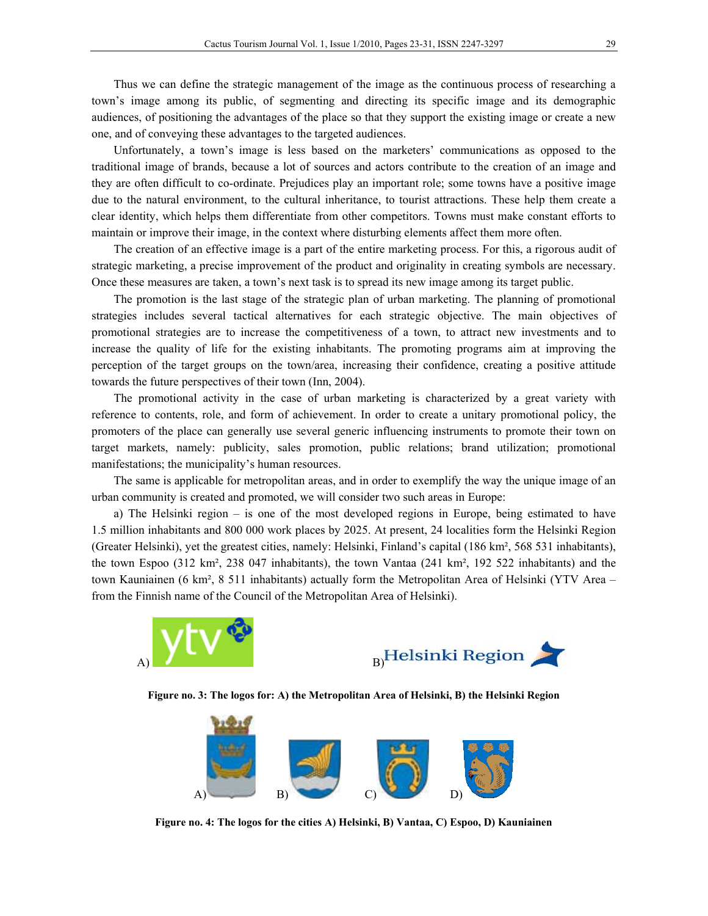Thus we can define the strategic management of the image as the continuous process of researching a town's image among its public, of segmenting and directing its specific image and its demographic audiences, of positioning the advantages of the place so that they support the existing image or create a new one, and of conveying these advantages to the targeted audiences.

Unfortunately, a town's image is less based on the marketers' communications as opposed to the traditional image of brands, because a lot of sources and actors contribute to the creation of an image and they are often difficult to co-ordinate. Prejudices play an important role; some towns have a positive image due to the natural environment, to the cultural inheritance, to tourist attractions. These help them create a clear identity, which helps them differentiate from other competitors. Towns must make constant efforts to maintain or improve their image, in the context where disturbing elements affect them more often.

The creation of an effective image is a part of the entire marketing process. For this, a rigorous audit of strategic marketing, a precise improvement of the product and originality in creating symbols are necessary. Once these measures are taken, a town's next task is to spread its new image among its target public.

The promotion is the last stage of the strategic plan of urban marketing. The planning of promotional strategies includes several tactical alternatives for each strategic objective. The main objectives of promotional strategies are to increase the competitiveness of a town, to attract new investments and to increase the quality of life for the existing inhabitants. The promoting programs aim at improving the perception of the target groups on the town/area, increasing their confidence, creating a positive attitude towards the future perspectives of their town (Inn, 2004).

The promotional activity in the case of urban marketing is characterized by a great variety with reference to contents, role, and form of achievement. In order to create a unitary promotional policy, the promoters of the place can generally use several generic influencing instruments to promote their town on target markets, namely: publicity, sales promotion, public relations; brand utilization; promotional manifestations; the municipality's human resources.

The same is applicable for metropolitan areas, and in order to exemplify the way the unique image of an urban community is created and promoted, we will consider two such areas in Europe:

a) The Helsinki region – is one of the most developed regions in Europe, being estimated to have 1.5 million inhabitants and 800 000 work places by 2025. At present, 24 localities form the Helsinki Region (Greater Helsinki), yet the greatest cities, namely: Helsinki, Finland's capital (186 km², 568 531 inhabitants), the town Espoo (312 km², 238 047 inhabitants), the town Vantaa (241 km², 192 522 inhabitants) and the town Kauniainen (6 km², 8 511 inhabitants) actually form the Metropolitan Area of Helsinki (YTV Area – from the Finnish name of the Council of the Metropolitan Area of Helsinki).



**Figure no. 3: The logos for: A) the Metropolitan Area of Helsinki, B) the Helsinki Region** 



**Figure no. 4: The logos for the cities A) Helsinki, B) Vantaa, C) Espoo, D) Kauniainen**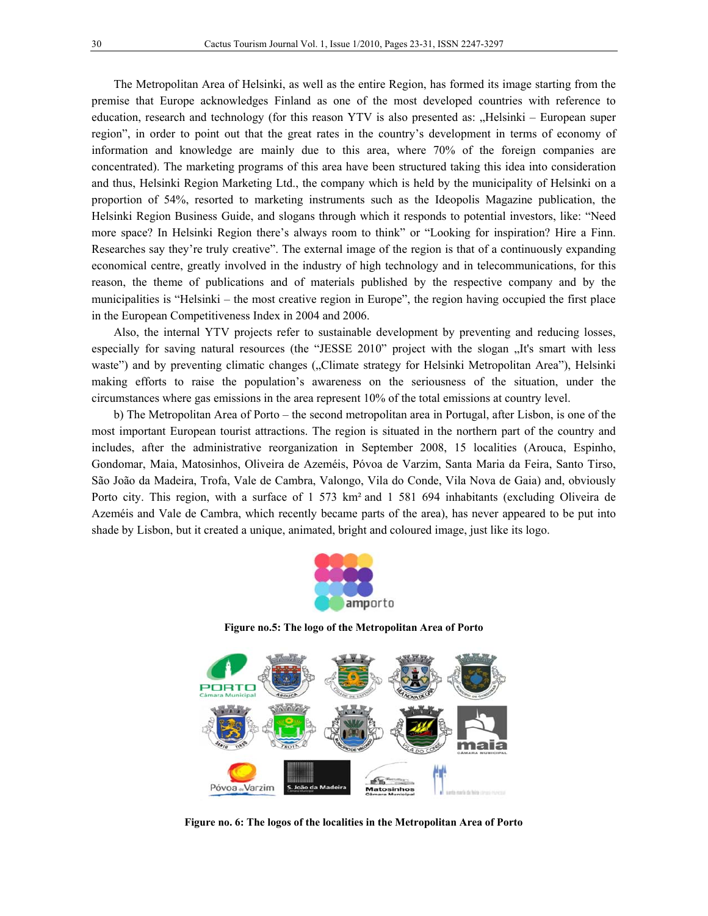The Metropolitan Area of Helsinki, as well as the entire Region, has formed its image starting from the premise that Europe acknowledges Finland as one of the most developed countries with reference to education, research and technology (for this reason YTV is also presented as: "Helsinki – European super region", in order to point out that the great rates in the country's development in terms of economy of information and knowledge are mainly due to this area, where 70% of the foreign companies are concentrated). The marketing programs of this area have been structured taking this idea into consideration and thus, Helsinki Region Marketing Ltd., the company which is held by the municipality of Helsinki on a proportion of 54%, resorted to marketing instruments such as the Ideopolis Magazine publication, the Helsinki Region Business Guide, and slogans through which it responds to potential investors, like: "Need more space? In Helsinki Region there's always room to think" or "Looking for inspiration? Hire a Finn. Researches say they're truly creative". The external image of the region is that of a continuously expanding economical centre, greatly involved in the industry of high technology and in telecommunications, for this reason, the theme of publications and of materials published by the respective company and by the municipalities is "Helsinki – the most creative region in Europe", the region having occupied the first place in the European Competitiveness Index in 2004 and 2006.

Also, the internal YTV projects refer to sustainable development by preventing and reducing losses, especially for saving natural resources (the "JESSE 2010" project with the slogan "It's smart with less waste") and by preventing climatic changes ("Climate strategy for Helsinki Metropolitan Area"), Helsinki making efforts to raise the population's awareness on the seriousness of the situation, under the circumstances where gas emissions in the area represent 10% of the total emissions at country level.

b) The Metropolitan Area of Porto – the second metropolitan area in Portugal, after Lisbon, is one of the most important European tourist attractions. The region is situated in the northern part of the country and includes, after the administrative reorganization in September 2008, 15 localities (Arouca, Espinho, Gondomar, Maia, Matosinhos, Oliveira de Azeméis, Póvoa de Varzim, Santa Maria da Feira, Santo Tirso, São João da Madeira, Trofa, Vale de Cambra, Valongo, Vila do Conde, Vila Nova de Gaia) and, obviously Porto city. This region, with a surface of 1 573 km² and 1 581 694 inhabitants (excluding Oliveira de Azeméis and Vale de Cambra, which recently became parts of the area), has never appeared to be put into shade by Lisbon, but it created a unique, animated, bright and coloured image, just like its logo.



**Figure no.5: The logo of the Metropolitan Area of Porto** 



**Figure no. 6: The logos of the localities in the Metropolitan Area of Porto**